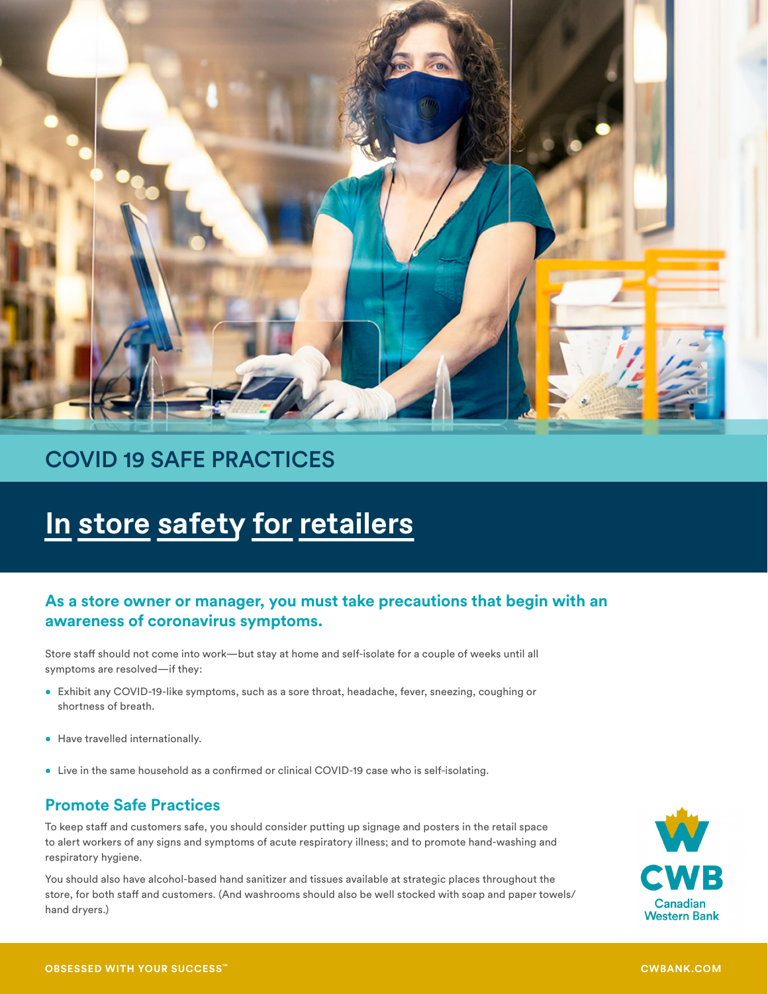

## COVID 19 SAFE PRACTICES

# **In store safety for retailers**

### **As a store owner or manager, you must take precautions that begin with an awareness of coronavirus symptoms.**

Store staff should not come into work—but stay at home and self-isolate for a couple of weeks until all symptoms are resolved—if they:

- Exhibit any COVID-19-like symptoms, such as a sore throat, headache, fever, sneezing, coughing or shortness of breath.
- Have travelled internationally.
- Live in the same household as a confirmed or clinical COVID-19 case who is self-isolating.

## **Promote Safe Practices**

To keep staff and customers safe, you should consider putting up signage and posters in the retail space to alert workers of any signs and symptoms of acute respiratory illness; and to promote hand-washing and respiratory hygiene.

You should also have alcohol-based hand sanitizer and tissues available at strategic places throughout the store, for both staff and customers. (And washrooms should also be well stocked with soap and paper towels/ hand dryers.)